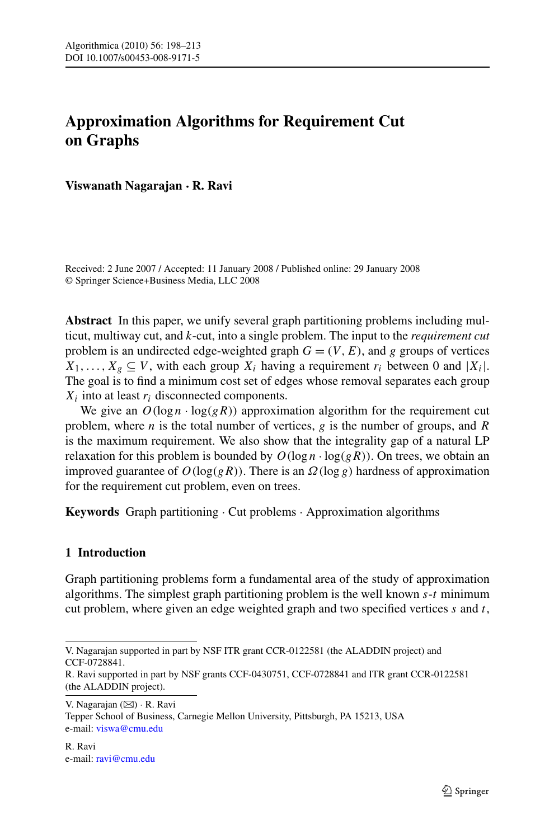## **Approximation Algorithms for Requirement Cut on Graphs**

**Viswanath Nagarajan · R. Ravi**

Received: 2 June 2007 / Accepted: 11 January 2008 / Published online: 29 January 2008 © Springer Science+Business Media, LLC 2008

**Abstract** In this paper, we unify several graph partitioning problems including multicut, multiway cut, and *k*-cut, into a single problem. The input to the *requirement cut* problem is an undirected edge-weighted graph  $G = (V, E)$ , and *g* groups of vertices  $X_1, \ldots, X_g \subseteq V$ , with each group  $X_i$  having a requirement  $r_i$  between 0 and  $|X_i|$ . The goal is to find a minimum cost set of edges whose removal separates each group *Xi* into at least *ri* disconnected components.

We give an  $O(\log n \cdot \log(gR))$  approximation algorithm for the requirement cut problem, where *n* is the total number of vertices, *g* is the number of groups, and *R* is the maximum requirement. We also show that the integrality gap of a natural LP relaxation for this problem is bounded by  $O(\log n \cdot \log(gR))$ . On trees, we obtain an improved guarantee of *O(*log*(gR))*. There is an *Ω(*log *g)* hardness of approximation for the requirement cut problem, even on trees.

**Keywords** Graph partitioning · Cut problems · Approximation algorithms

## **1 Introduction**

Graph partitioning problems form a fundamental area of the study of approximation algorithms. The simplest graph partitioning problem is the well known *s*-*t* minimum cut problem, where given an edge weighted graph and two specified vertices *s* and *t*,

V. Nagarajan supported in part by NSF ITR grant CCR-0122581 (the ALADDIN project) and CCF-0728841.

R. Ravi supported in part by NSF grants CCF-0430751, CCF-0728841 and ITR grant CCR-0122581 (the ALADDIN project).

V. Nagarajan ( $\boxtimes$ ) · R. Ravi

Tepper School of Business, Carnegie Mellon University, Pittsburgh, PA 15213, USA e-mail: [viswa@cmu.edu](mailto:viswa@cmu.edu)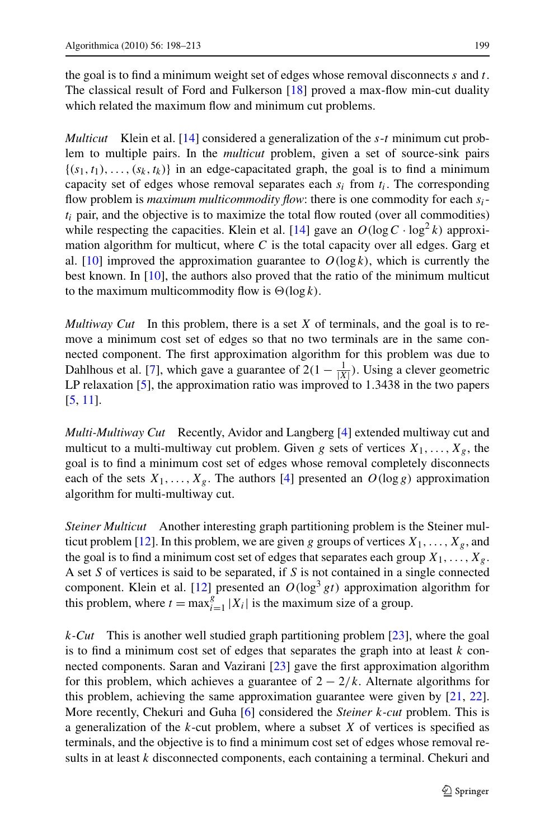the goal is to find a minimum weight set of edges whose removal disconnects *s* and *t*. The classical result of Ford and Fulkerson [[18](#page-15-0)] proved a max-flow min-cut duality which related the maximum flow and minimum cut problems.

*Multicut* Klein et al. [[14\]](#page-15-0) considered a generalization of the *s*-*t* minimum cut problem to multiple pairs. In the *multicut* problem, given a set of source-sink pairs  $\{(s_1, t_1), \ldots, (s_k, t_k)\}\$  in an edge-capacitated graph, the goal is to find a minimum capacity set of edges whose removal separates each *si* from *ti*. The corresponding flow problem is *maximum multicommodity flow*: there is one commodity for each *si* $t_i$  pair, and the objective is to maximize the total flow routed (over all commodities) while respecting the capacities. Klein et al. [[14\]](#page-15-0) gave an  $O(\log C \cdot \log^2 k)$  approximation algorithm for multicut, where *C* is the total capacity over all edges. Garg et al. [\[10](#page-14-0)] improved the approximation guarantee to  $O(\log k)$ , which is currently the best known. In [[10\]](#page-14-0), the authors also proved that the ratio of the minimum multicut to the maximum multicommodity flow is  $\Theta(\log k)$ .

*Multiway Cut* In this problem, there is a set *X* of terminals, and the goal is to remove a minimum cost set of edges so that no two terminals are in the same connected component. The first approximation algorithm for this problem was due to Dahlhous et al. [[7\]](#page-14-0), which gave a guarantee of  $2(1 - \frac{1}{|X|})$ . Using a clever geometric LP relaxation [[5\]](#page-14-0), the approximation ratio was improved to 1*.*3438 in the two papers [\[5](#page-14-0), [11](#page-14-0)].

*Multi-Multiway Cut* Recently, Avidor and Langberg [[4\]](#page-14-0) extended multiway cut and multicut to a multi-multiway cut problem. Given *g* sets of vertices  $X_1, \ldots, X_g$ , the goal is to find a minimum cost set of edges whose removal completely disconnects each of the sets  $X_1, \ldots, X_g$ . The authors [\[4](#page-14-0)] presented an  $O(\log g)$  approximation algorithm for multi-multiway cut.

*Steiner Multicut* Another interesting graph partitioning problem is the Steiner mul-ticut problem [\[12\]](#page-15-0). In this problem, we are given *g* groups of vertices  $X_1, \ldots, X_g$ , and the goal is to find a minimum cost set of edges that separates each group  $X_1, \ldots, X_g$ . A set *S* of vertices is said to be separated, if *S* is not contained in a single connected component. Klein et al. [[12\]](#page-15-0) presented an  $O(\log^3 gt)$  approximation algorithm for this problem, where  $t = \max_{i=1}^{g} |X_i|$  is the maximum size of a group.

*k-Cut* This is another well studied graph partitioning problem [\[23](#page-15-0)], where the goal is to find a minimum cost set of edges that separates the graph into at least *k* connected components. Saran and Vazirani [\[23](#page-15-0)] gave the first approximation algorithm for this problem, which achieves a guarantee of  $2 - \frac{2}{k}$ . Alternate algorithms for this problem, achieving the same approximation guarantee were given by [\[21,](#page-15-0) [22\]](#page-15-0). More recently, Chekuri and Guha [\[6](#page-14-0)] considered the *Steiner k-cut* problem. This is a generalization of the *k*-cut problem, where a subset *X* of vertices is specified as terminals, and the objective is to find a minimum cost set of edges whose removal results in at least *k* disconnected components, each containing a terminal. Chekuri and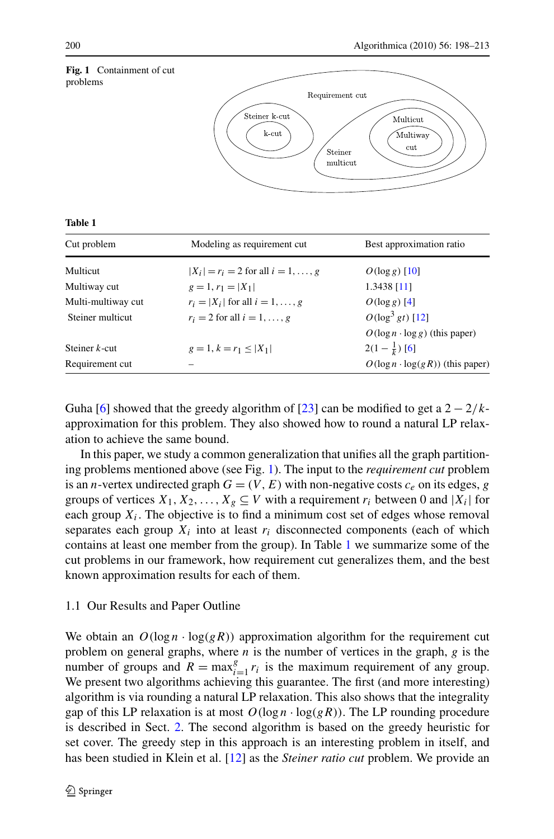

| ۰.<br>۰.<br>.<br>v<br>v |  |
|-------------------------|--|
|-------------------------|--|

| Cut problem        | Modeling as requirement cut              | Best approximation ratio                |
|--------------------|------------------------------------------|-----------------------------------------|
| Multicut           | $ X_i  = r_i = 2$ for all $i = 1, , g$   | $O(\log g)$ [10]                        |
| Multiway cut       | $g = 1, r_1 =  X_1 $                     | 1.3438 [11]                             |
| Multi-multiway cut | $r_i =  X_i $ for all $i = 1, \ldots, g$ | $O(\log g)$ [4]                         |
| Steiner multicut   | $r_i = 2$ for all $i = 1, \ldots, g$     | $O(\log^3 gt)$ [12]                     |
|                    |                                          | $O(\log n \cdot \log g)$ (this paper)   |
| Steiner $k$ -cut   | $g = 1, k = r_1 <  X_1 $                 | $2(1-\frac{1}{k})$ [6]                  |
| Requirement cut    |                                          | $O(\log n \cdot \log(gR))$ (this paper) |

Guha [\[6](#page-14-0)] showed that the greedy algorithm of [\[23](#page-15-0)] can be modified to get a  $2 - \frac{2}{k}$ approximation for this problem. They also showed how to round a natural LP relaxation to achieve the same bound.

In this paper, we study a common generalization that unifies all the graph partitioning problems mentioned above (see Fig. 1). The input to the *requirement cut* problem is an *n*-vertex undirected graph  $G = (V, E)$  with non-negative costs  $c_e$  on its edges, *g* groups of vertices  $X_1, X_2, \ldots, X_g \subseteq V$  with a requirement  $r_i$  between 0 and  $|X_i|$  for each group  $X_i$ . The objective is to find a minimum cost set of edges whose removal separates each group  $X_i$  into at least  $r_i$  disconnected components (each of which contains at least one member from the group). In Table 1 we summarize some of the cut problems in our framework, how requirement cut generalizes them, and the best known approximation results for each of them.

#### 1.1 Our Results and Paper Outline

We obtain an  $O(\log n \cdot \log(gR))$  approximation algorithm for the requirement cut problem on general graphs, where *n* is the number of vertices in the graph, *g* is the number of groups and  $R = \max_{i=1}^{g} r_i$  is the maximum requirement of any group. We present two algorithms achieving this guarantee. The first (and more interesting) algorithm is via rounding a natural LP relaxation. This also shows that the integrality gap of this LP relaxation is at most  $O(\log n \cdot \log(gR))$ . The LP rounding procedure is described in Sect. [2](#page-3-0). The second algorithm is based on the greedy heuristic for set cover. The greedy step in this approach is an interesting problem in itself, and has been studied in Klein et al. [[12\]](#page-15-0) as the *Steiner ratio cut* problem. We provide an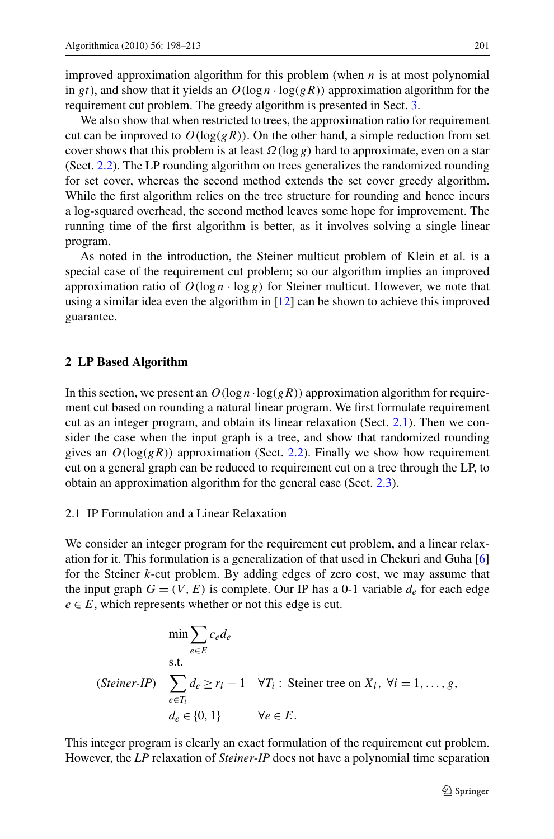<span id="page-3-0"></span>improved approximation algorithm for this problem (when *n* is at most polynomial in *gt*), and show that it yields an  $O(\log n \cdot \log(gR))$  approximation algorithm for the requirement cut problem. The greedy algorithm is presented in Sect. [3](#page-10-0).

We also show that when restricted to trees, the approximation ratio for requirement cut can be improved to  $O(\log(gR))$ . On the other hand, a simple reduction from set cover shows that this problem is at least  $\Omega(\log g)$  hard to approximate, even on a star (Sect. [2.2](#page-5-0)). The LP rounding algorithm on trees generalizes the randomized rounding for set cover, whereas the second method extends the set cover greedy algorithm. While the first algorithm relies on the tree structure for rounding and hence incurs a log-squared overhead, the second method leaves some hope for improvement. The running time of the first algorithm is better, as it involves solving a single linear program.

As noted in the introduction, the Steiner multicut problem of Klein et al. is a special case of the requirement cut problem; so our algorithm implies an improved approximation ratio of  $O(\log n \cdot \log g)$  for Steiner multicut. However, we note that using a similar idea even the algorithm in [\[12](#page-15-0)] can be shown to achieve this improved guarantee.

#### **2 LP Based Algorithm**

In this section, we present an  $O(\log n \cdot \log(gR))$  approximation algorithm for requirement cut based on rounding a natural linear program. We first formulate requirement cut as an integer program, and obtain its linear relaxation (Sect. 2.1). Then we consider the case when the input graph is a tree, and show that randomized rounding gives an  $O(\log(gR))$  approximation (Sect. [2.2\)](#page-5-0). Finally we show how requirement cut on a general graph can be reduced to requirement cut on a tree through the LP, to obtain an approximation algorithm for the general case (Sect. [2.3](#page-8-0)).

#### 2.1 IP Formulation and a Linear Relaxation

We consider an integer program for the requirement cut problem, and a linear relaxation for it. This formulation is a generalization of that used in Chekuri and Guha [\[6](#page-14-0)] for the Steiner *k*-cut problem. By adding edges of zero cost, we may assume that the input graph  $G = (V, E)$  is complete. Our IP has a 0-1 variable  $d_e$  for each edge  $e \in E$ , which represents whether or not this edge is cut.

$$
\min \sum_{e \in E} c_e d_e
$$
  
s.t.  
*(Steiner-IP)* 
$$
\sum_{e \in T_i} d_e \ge r_i - 1 \quad \forall T_i : \text{Steiner tree on } X_i, \ \forall i = 1, ..., g,
$$

$$
d_e \in \{0, 1\} \qquad \forall e \in E.
$$

This integer program is clearly an exact formulation of the requirement cut problem. However, the *LP* relaxation of *Steiner-IP* does not have a polynomial time separation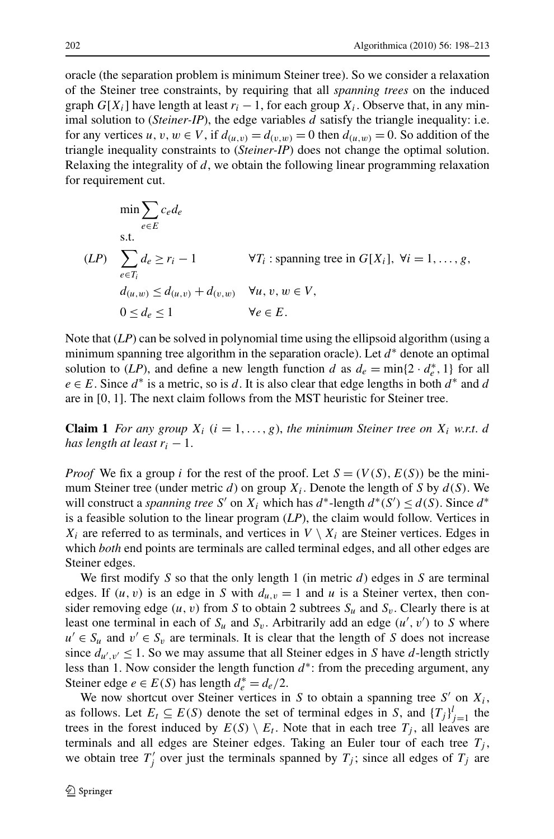<span id="page-4-0"></span>oracle (the separation problem is minimum Steiner tree). So we consider a relaxation of the Steiner tree constraints, by requiring that all *spanning trees* on the induced graph  $G[X_i]$  have length at least  $r_i - 1$ , for each group  $X_i$ . Observe that, in any minimal solution to (*Steiner-IP*), the edge variables *d* satisfy the triangle inequality: i.e. for any vertices  $u, v, w \in V$ , if  $d(u, v) = d(v, w) = 0$  then  $d(u, w) = 0$ . So addition of the triangle inequality constraints to (*Steiner-IP*) does not change the optimal solution. Relaxing the integrality of *d*, we obtain the following linear programming relaxation for requirement cut.

$$
\min \sum_{e \in E} c_e d_e
$$
\ns.t.

\n
$$
(LP) \sum_{e \in T_i} d_e \ge r_i - 1 \qquad \forall T_i : \text{spanning tree in } G[X_i], \forall i = 1, \dots, g,
$$
\n
$$
d_{(u,w)} \le d_{(u,v)} + d_{(v,w)} \qquad \forall u, v, w \in V,
$$
\n
$$
0 \le d_e \le 1 \qquad \forall e \in E.
$$

Note that (*LP*) can be solved in polynomial time using the ellipsoid algorithm (using a minimum spanning tree algorithm in the separation oracle). Let *d*<sup>∗</sup> denote an optimal solution to (*LP*), and define a new length function *d* as  $d_e = \min\{2 \cdot d_e^*, 1\}$  for all  $e \in E$ . Since  $d^*$  is a metric, so is *d*. It is also clear that edge lengths in both  $d^*$  and *d* are in [0*,* 1]. The next claim follows from the MST heuristic for Steiner tree.

**Claim 1** *For any group*  $X_i$  ( $i = 1, \ldots, g$ ), the minimum Steiner tree on  $X_i$  w.r.t. d *has length at least*  $r_i - 1$ .

*Proof* We fix a group *i* for the rest of the proof. Let  $S = (V(S), E(S))$  be the minimum Steiner tree (under metric *d*) on group  $X_i$ . Denote the length of *S* by  $d(S)$ . We will construct a *spanning tree* S' on  $X_i$  which has  $d^*$ -length  $d^*(S') \leq d(S)$ . Since  $d^*$ is a feasible solution to the linear program (*LP*), the claim would follow. Vertices in  $X_i$  are referred to as terminals, and vertices in  $V \setminus X_i$  are Steiner vertices. Edges in which *both* end points are terminals are called terminal edges, and all other edges are Steiner edges.

We first modify *S* so that the only length 1 (in metric *d*) edges in *S* are terminal edges. If  $(u, v)$  is an edge in *S* with  $d_{u,v} = 1$  and *u* is a Steiner vertex, then consider removing edge  $(u, v)$  from *S* to obtain 2 subtrees  $S_u$  and  $S_v$ . Clearly there is at least one terminal in each of  $S_u$  and  $S_v$ . Arbitrarily add an edge  $(u', v')$  to *S* where  $u' \in S_u$  and  $v' \in S_v$  are terminals. It is clear that the length of *S* does not increase since  $d_{u',v'} \leq 1$ . So we may assume that all Steiner edges in *S* have *d*-length strictly less than 1. Now consider the length function *d*∗: from the preceding argument, any Steiner edge *e*  $\in E(S)$  has length  $d_e^* = d_e/2$ .

We now shortcut over Steiner vertices in *S* to obtain a spanning tree  $S'$  on  $X_i$ , as follows. Let  $E_t \subseteq E(S)$  denote the set of terminal edges in *S*, and  $\{T_j\}_{j=1}^l$  the trees in the forest induced by  $E(S) \setminus E_t$ . Note that in each tree  $T_i$ , all leaves are terminals and all edges are Steiner edges. Taking an Euler tour of each tree  $T_i$ , we obtain tree  $T'_j$  over just the terminals spanned by  $T_j$ ; since all edges of  $T_j$  are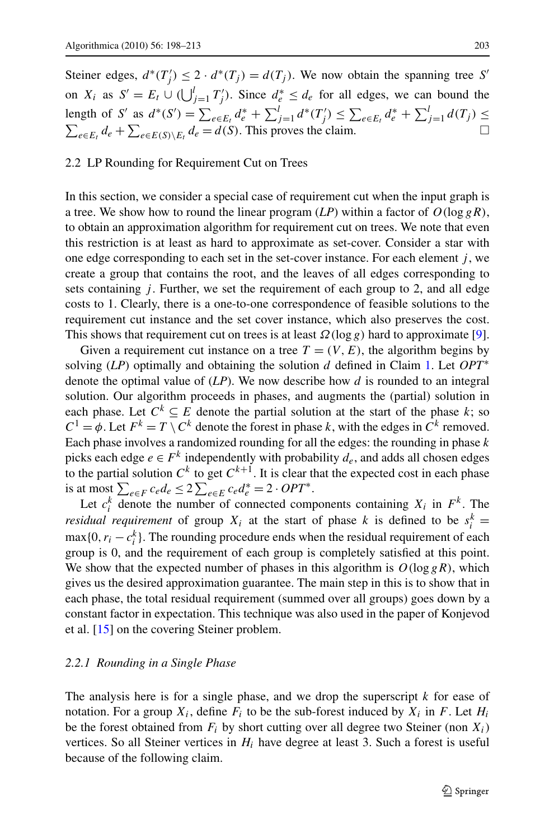<span id="page-5-0"></span>Steiner edges,  $d^*(T'_j) \leq 2 \cdot d^*(T_j) = d(T_j)$ . We now obtain the spanning tree *S'* on  $X_i$  as  $S' = E_t \cup (\bigcup_{j=1}^l T'_j)$ . Since  $d_e^* \leq d_e$  for all edges, we can bound the length of S' as  $d^*(S') = \sum_{e \in E_t} d_e^* + \sum_{j=1}^l d^*(T'_j) \leq \sum_{e \in E_t} d_e^* + \sum_{j=1}^l d(T_j) \leq$  $\sum_{e \in E_t} d_e + \sum_{e \in E(S) \setminus E_t} d_e = d(S)$ . This proves the claim.  $\Box$ 

#### 2.2 LP Rounding for Requirement Cut on Trees

In this section, we consider a special case of requirement cut when the input graph is a tree. We show how to round the linear program  $(LP)$  within a factor of  $O(\log gR)$ , to obtain an approximation algorithm for requirement cut on trees. We note that even this restriction is at least as hard to approximate as set-cover. Consider a star with one edge corresponding to each set in the set-cover instance. For each element *j* , we create a group that contains the root, and the leaves of all edges corresponding to sets containing *j* . Further, we set the requirement of each group to 2, and all edge costs to 1. Clearly, there is a one-to-one correspondence of feasible solutions to the requirement cut instance and the set cover instance, which also preserves the cost. This shows that requirement cut on trees is at least *Ω(*log *g)* hard to approximate [[9\]](#page-14-0).

Given a requirement cut instance on a tree  $T = (V, E)$ , the algorithm begins by solving (*LP*) optimally and obtaining the solution *d* defined in Claim [1](#page-4-0). Let *OPT*<sup>∗</sup> denote the optimal value of (*LP*). We now describe how *d* is rounded to an integral solution. Our algorithm proceeds in phases, and augments the (partial) solution in each phase. Let  $C^k \subseteq E$  denote the partial solution at the start of the phase *k*; so  $C^1 = \phi$ . Let  $F^k = T \setminus C^k$  denote the forest in phase *k*, with the edges in  $C^k$  removed. Each phase involves a randomized rounding for all the edges: the rounding in phase *k* picks each edge  $e \in F^k$  independently with probability  $d_e$ , and adds all chosen edges to the partial solution  $C^k$  to get  $C^{k+1}$ . It is clear that the expected cost in each phase is at most  $\sum_{e \in F} c_e d_e$  ≤ 2  $\sum_{e \in E} c_e d_e^*$  = 2 ⋅ *OPT*<sup>\*</sup>.

Let  $c_i^k$  denote the number of connected components containing  $X_i$  in  $F^k$ . The *residual requirement* of group  $X_i$  at the start of phase k is defined to be  $s_i^k =$  $\max\{0, r_i - c_i^k\}$ . The rounding procedure ends when the residual requirement of each group is 0, and the requirement of each group is completely satisfied at this point. We show that the expected number of phases in this algorithm is  $O(\log gR)$ , which gives us the desired approximation guarantee. The main step in this is to show that in each phase, the total residual requirement (summed over all groups) goes down by a constant factor in expectation. This technique was also used in the paper of Konjevod et al. [[15\]](#page-15-0) on the covering Steiner problem.

#### *2.2.1 Rounding in a Single Phase*

The analysis here is for a single phase, and we drop the superscript *k* for ease of notation. For a group  $X_i$ , define  $F_i$  to be the sub-forest induced by  $X_i$  in  $F$ . Let  $H_i$ be the forest obtained from  $F_i$  by short cutting over all degree two Steiner (non  $X_i$ ) vertices. So all Steiner vertices in *Hi* have degree at least 3. Such a forest is useful because of the following claim.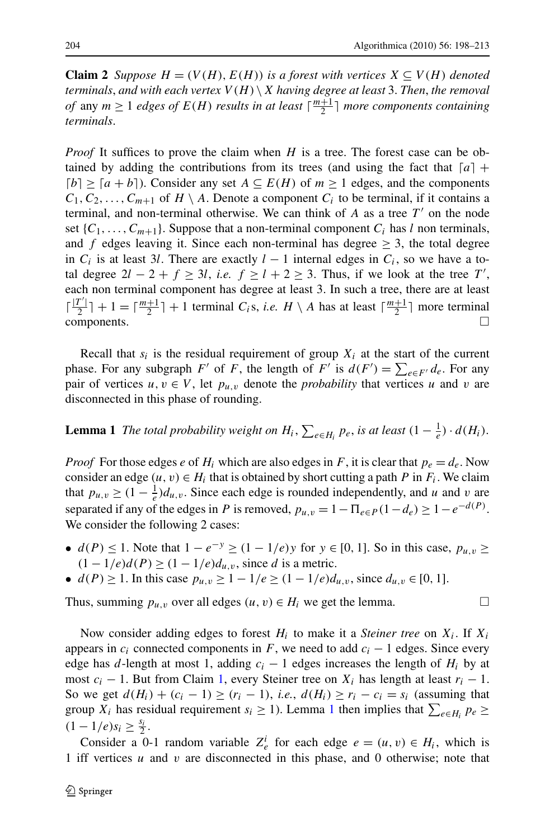<span id="page-6-0"></span>**Claim 2** *Suppose*  $H = (V(H), E(H))$  *is a forest with vertices*  $X \subseteq V(H)$  *denoted terminals, and with each vertex*  $V(H) \setminus X$  *having degree at least* 3. *Then, the removal of* any  $m \geq 1$  *edges of*  $E(H)$  *results in at least*  $\lceil \frac{m+1}{2} \rceil$  *more components containing terminals*.

*Proof* It suffices to prove the claim when *H* is a tree. The forest case can be obtained by adding the contributions from its trees (and using the fact that  $\lceil a \rceil$  +  $\lceil b \rceil$  ≥  $\lceil a + b \rceil$ ). Consider any set *A* ⊆ *E(H)* of *m* ≥ 1 edges, and the components  $C_1, C_2, \ldots, C_{m+1}$  of  $H \setminus A$ . Denote a component  $C_i$  to be terminal, if it contains a terminal, and non-terminal otherwise. We can think of  $A$  as a tree  $T'$  on the node set  $\{C_1, \ldots, C_{m+1}\}\$ . Suppose that a non-terminal component  $C_i$  has *l* non terminals, and *f* edges leaving it. Since each non-terminal has degree  $\geq$  3, the total degree in  $C_i$  is at least 3*l*. There are exactly  $l-1$  internal edges in  $C_i$ , so we have a total degree  $2l - 2 + f \ge 3l$ , *i.e.*  $f \ge l + 2 \ge 3$ . Thus, if we look at the tree T', each non terminal component has degree at least 3. In such a tree, there are at least  $\lceil \frac{|T'|}{2} \rceil + 1 = \lceil \frac{m+1}{2} \rceil + 1$  terminal *C<sub>i</sub>*s, *i.e. H* \ *A* has at least  $\lceil \frac{m+1}{2} \rceil$  more terminal  $\Box$  components.  $\Box$ 

Recall that  $s_i$  is the residual requirement of group  $X_i$  at the start of the current phase. For any subgraph *F'* of *F*, the length of *F'* is  $d(F') = \sum_{e \in F'} d_e$ . For any pair of vertices  $u, v \in V$ , let  $p_{u,v}$  denote the *probability* that vertices *u* and *v* are disconnected in this phase of rounding.

# **Lemma 1** *The total probability weight on*  $H_i$ ,  $\sum_{e \in H_i} p_e$ , *is at least*  $(1 - \frac{1}{e}) \cdot d(H_i)$ .

*Proof* For those edges *e* of  $H_i$  which are also edges in *F*, it is clear that  $p_e = d_e$ . Now consider an edge  $(u, v) \in H_i$  that is obtained by short cutting a path *P* in  $F_i$ . We claim that  $p_{u,v} \geq (1 - \frac{1}{e})d_{u,v}$ . Since each edge is rounded independently, and *u* and *v* are separated if any of the edges in *P* is removed,  $p_{u,v} = 1 - \prod_{e \in P} (1 - d_e) \ge 1 - e^{-d(P)}$ . We consider the following 2 cases:

- *d(P)*  $\leq$  1. Note that  $1 e^{-y} \geq (1 1/e)y$  for  $y \in [0, 1]$ . So in this case,  $p_{u,v} \geq$  $(1 - 1/e)d(P) \ge (1 - 1/e)d_{u,v}$ , since *d* is a metric.
- $d(P) \ge 1$ . In this case  $p_{u,v} \ge 1 1/e \ge (1 1/e)d_{u,v}$ , since  $d_{u,v} \in [0, 1]$ .

Thus, summing  $p_{u,v}$  over all edges  $(u,v) \in H_i$  we get the lemma.

Now consider adding edges to forest  $H_i$  to make it a *Steiner tree* on  $X_i$ . If  $X_i$ appears in  $c_i$  connected components in  $F$ , we need to add  $c_i - 1$  edges. Since every edge has *d*-length at most 1, adding  $c_i - 1$  edges increases the length of  $H_i$  by at most  $c_i - 1$ . But from Claim [1,](#page-4-0) every Steiner tree on  $X_i$  has length at least  $r_i - 1$ . So we get  $d(H_i) + (c_i - 1) \ge (r_i - 1)$ , *i.e.*,  $d(H_i) \ge r_i - c_i = s_i$  (assuming that group *X<sub>i</sub>* has residual requirement *s<sub>i</sub>*  $\geq$  1). Lemma 1 then implies that  $\sum_{e \in H_i} p_e \geq$  $(1 - 1/e)s_i \geq \frac{s_i}{2}$ .

Consider a 0-1 random variable  $Z_e^i$  for each edge  $e = (u, v) \in H_i$ , which is 1 iff vertices *u* and *v* are disconnected in this phase, and 0 otherwise; note that

$$
\qquad \qquad \Box
$$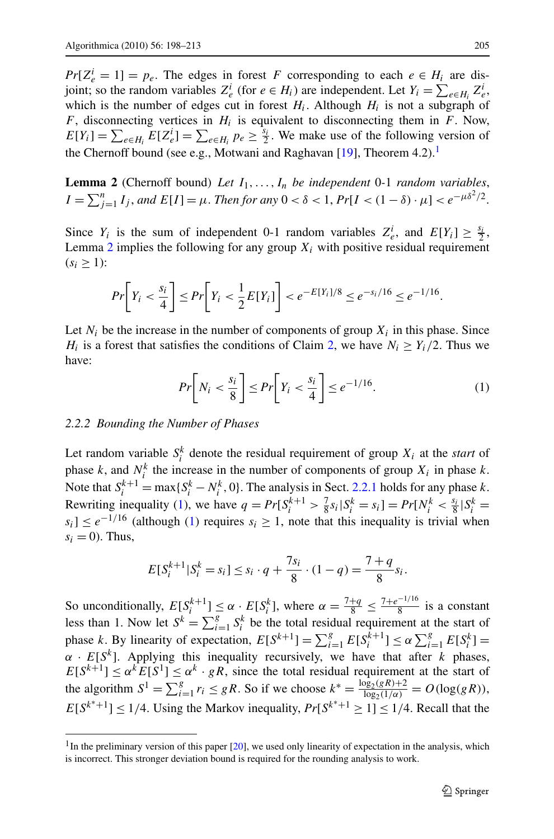$Pr[Z_e^i = 1] = p_e$ . The edges in forest *F* corresponding to each  $e \in H_i$  are disjoint; so the random variables  $Z_e^i$  (for  $e \in H_i$ ) are independent. Let  $Y_i = \sum_{e \in H_i} Z_e^i$ , which is the number of edges cut in forest  $H_i$ . Although  $H_i$  is not a subgraph of *F*, disconnecting vertices in *Hi* is equivalent to disconnecting them in *F*. Now,  $E[Y_i] = \sum_{e \in H_i} E[Z_e^i] = \sum_{e \in H_i} p_e \ge \frac{s_i}{2}$ . We make use of the following version of the Chernoff bound (see e.g., Motwani and Raghavan [\[19](#page-15-0)], Theorem  $4.2$ ).<sup>1</sup>

**Lemma 2** (Chernoff bound) *Let*  $I_1, \ldots, I_n$  *be independent* 0-1 *random variables*,  $I = \sum_{j=1}^{n} I_j$ , and  $E[I] = \mu$ . *Then for any*  $0 < \delta < 1$ ,  $Pr[I < (1 - \delta) \cdot \mu] < e^{-\mu \delta^2/2}$ .

Since  $Y_i$  is the sum of independent 0-1 random variables  $Z_e^i$ , and  $E[Y_i] \geq \frac{s_i}{2}$ , Lemma 2 implies the following for any group  $X_i$  with positive residual requirement  $(s_i \geq 1)$ :

$$
Pr\bigg[Y_i < \frac{s_i}{4}\bigg] \leq Pr\bigg[Y_i < \frac{1}{2}E[Y_i]\bigg] < e^{-E[Y_i]/8} \leq e^{-s_i/16} \leq e^{-1/16}.
$$

Let  $N_i$  be the increase in the number of components of group  $X_i$  in this phase. Since *H<sub>i</sub>* is a forest that satisfies the conditions of Claim [2,](#page-6-0) we have  $N_i \geq Y_i/2$ . Thus we have:

$$
Pr\left[N_i < \frac{s_i}{8}\right] \le Pr\left[Y_i < \frac{s_i}{4}\right] \le e^{-1/16}.\tag{1}
$$

#### *2.2.2 Bounding the Number of Phases*

Let random variable  $S_i^k$  denote the residual requirement of group  $X_i$  at the *start* of phase *k*, and  $N_i^k$  the increase in the number of components of group  $X_i$  in phase *k*. Note that  $S_i^{k+1} = \max\{S_i^k - N_i^k, 0\}$ . The analysis in Sect. [2.2.1](#page-5-0) holds for any phase *k*. Rewriting inequality (1), we have  $q = Pr[S_i^{k+1} > \frac{7}{8}s_i | S_i^k = s_i] = Pr[N_i^k < \frac{s_i}{8}|S_i^k = s_i]$ *s<sub>i</sub>*] ≤  $e^{-1/16}$  (although (1) requires *s<sub>i</sub>* ≥ 1, note that this inequality is trivial when  $s_i = 0$ ). Thus,

$$
E[S_i^{k+1} | S_i^k = s_i] \le s_i \cdot q + \frac{7s_i}{8} \cdot (1 - q) = \frac{7 + q}{8} s_i.
$$

So unconditionally,  $E[S_i^{k+1}] \leq \alpha \cdot E[S_i^k]$ , where  $\alpha = \frac{7+q}{8} \leq \frac{7+e^{-1/16}}{8}$  is a constant less than 1. Now let  $S^k = \sum_{i=1}^g S^k_i$  be the total residual requirement at the start of phase *k*. By linearity of expectation,  $E[S^{k+1}] = \sum_{i=1}^{g} E[S_i^{k+1}] \le \alpha \sum_{i=1}^{g} E[S_i^k] =$  $\alpha$  ·  $E[S^k]$ . Applying this inequality recursively, we have that after *k* phases,  $E[S^{k+1}] \leq \alpha^k E[S^1] \leq \alpha^k \cdot gR$ , since the total residual requirement at the start of the algorithm  $S^1 = \sum_{i=1}^g r_i \leq gR$ . So if we choose  $k^* = \frac{\log_2(gR) + 2}{\log_2(1/\alpha)} = O(\log(gR))$ ,  $E[S^{k^*+1}] \leq 1/4$ . Using the Markov inequality,  $Pr[S^{k^*+1}] \geq 1/4$ . Recall that the

 $<sup>1</sup>$ In the preliminary version of this paper  $[20]$  $[20]$ , we used only linearity of expectation in the analysis, which</sup> is incorrect. This stronger deviation bound is required for the rounding analysis to work.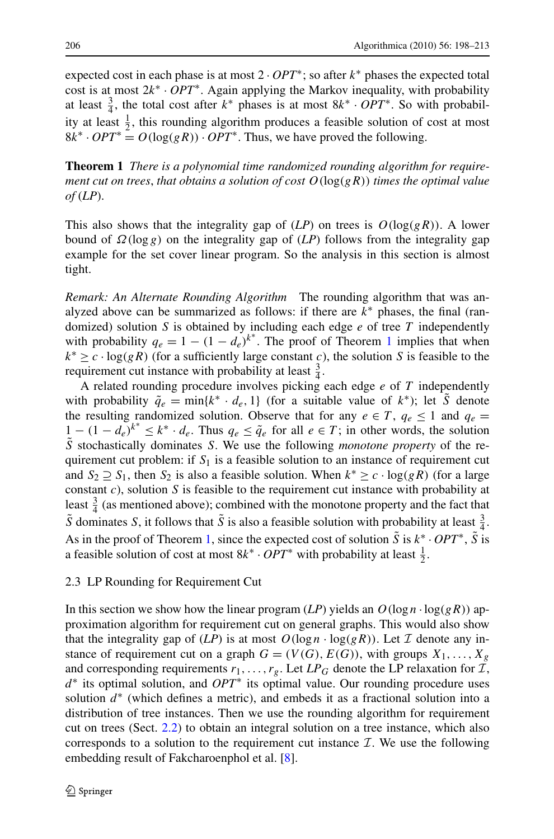<span id="page-8-0"></span>expected cost in each phase is at most 2 · *OPT*∗; so after *k*<sup>∗</sup> phases the expected total cost is at most 2*k*<sup>∗</sup> · *OPT*∗. Again applying the Markov inequality, with probability at least  $\frac{3}{4}$ , the total cost after  $k^*$  phases is at most  $8k^* \cdot OPT^*$ . So with probability at least  $\frac{1}{2}$ , this rounding algorithm produces a feasible solution of cost at most  $8k^* \cdot OPT^* = O(\log(gR)) \cdot OPT^*$ . Thus, we have proved the following.

**Theorem 1** *There is a polynomial time randomized rounding algorithm for requirement cut on trees*, *that obtains a solution of cost O(*log*(gR)) times the optimal value of* (*LP*).

This also shows that the integrality gap of  $(LP)$  on trees is  $O(log(gR))$ . A lower bound of  $\Omega(\log g)$  on the integrality gap of (*LP*) follows from the integrality gap example for the set cover linear program. So the analysis in this section is almost tight.

*Remark: An Alternate Rounding Algorithm* The rounding algorithm that was analyzed above can be summarized as follows: if there are *k*<sup>∗</sup> phases, the final (randomized) solution *S* is obtained by including each edge *e* of tree *T* independently with probability  $q_e = 1 - (1 - d_e)^{k^*}$ . The proof of Theorem 1 implies that when  $k^* \geq c \cdot \log(gR)$  (for a sufficiently large constant *c*), the solution *S* is feasible to the requirement cut instance with probability at least  $\frac{3}{4}$ .

A related rounding procedure involves picking each edge *e* of *T* independently with probability  $\tilde{q}_e = \min\{k^* \cdot d_e, 1\}$  (for a suitable value of  $k^*$ ); let *S* denote the resulting randomized solution. Observe that for any  $e \in T$ ,  $q_e \le 1$  and  $q_e =$  $1 - (1 - d_e)^{k^*} \leq k^* \cdot d_e$ . Thus  $q_e \leq \tilde{q}_e$  for all  $e \in T$ ; in other words, the solution *S*˜ stochastically dominates *S*. We use the following *monotone property* of the requirement cut problem: if  $S_1$  is a feasible solution to an instance of requirement cut and  $S_2 \supseteq S_1$ , then  $S_2$  is also a feasible solution. When  $k^* \geq c \cdot \log(gR)$  (for a large constant *c*), solution *S* is feasible to the requirement cut instance with probability at least  $\frac{3}{4}$  (as mentioned above); combined with the monotone property and the fact that  $\tilde{S}$  dominates *S*, it follows that  $\tilde{S}$  is also a feasible solution with probability at least  $\frac{3}{4}$ . As in the proof of Theorem 1, since the expected cost of solution  $\tilde{S}$  is  $k^*$  · *OPT*<sup>∗</sup>,  $\tilde{S}$  is a feasible solution of cost at most  $8k^* \cdot OPT^*$  with probability at least  $\frac{1}{2}$ .

#### 2.3 LP Rounding for Requirement Cut

In this section we show how the linear program  $(LP)$  yields an  $O(\log n \cdot \log(gR))$  approximation algorithm for requirement cut on general graphs. This would also show that the integrality gap of  $(LP)$  is at most  $O(log n \cdot log(gR))$ . Let  $\mathcal I$  denote any instance of requirement cut on a graph  $G = (V(G), E(G))$ , with groups  $X_1, \ldots, X_g$ and corresponding requirements  $r_1, \ldots, r_g$ . Let  $LP_G$  denote the LP relaxation for  $\mathcal{I}$ , *d*<sup>∗</sup> its optimal solution, and *OPT*<sup>∗</sup> its optimal value. Our rounding procedure uses solution  $d^*$  (which defines a metric), and embeds it as a fractional solution into a distribution of tree instances. Then we use the rounding algorithm for requirement cut on trees (Sect. [2.2\)](#page-5-0) to obtain an integral solution on a tree instance, which also corresponds to a solution to the requirement cut instance  $\mathcal{I}$ . We use the following embedding result of Fakcharoenphol et al. [[8\]](#page-14-0).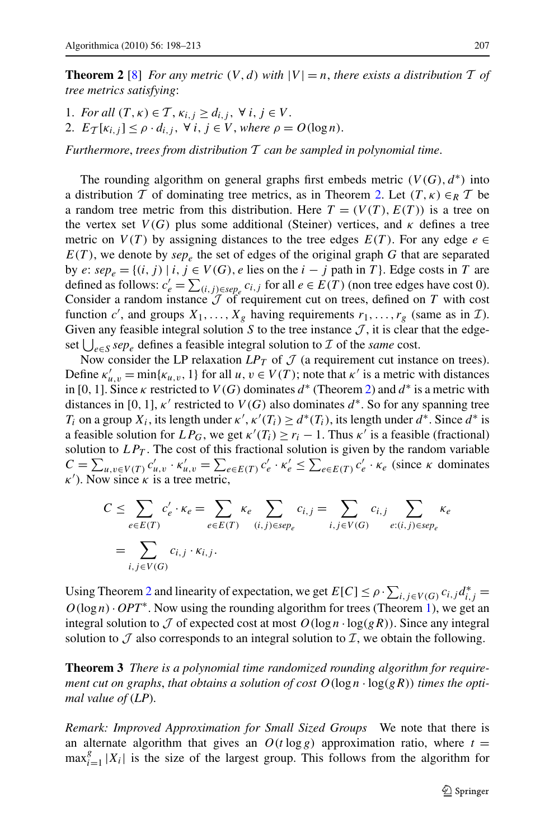<span id="page-9-0"></span>**Theorem 2** [\[8](#page-14-0)] *For any metric*  $(V, d)$  *with*  $|V| = n$ *, there exists a distribution* T *of tree metrics satisfying*:

1. *For all*  $(T, \kappa) \in T$ ,  $\kappa_i$ ,  $i > d_i$ ,  $\gamma$   $i, j \in V$ . 2.  $E_{\mathcal{T}}[K_{i,j}] \leq \rho \cdot d_{i,j}, \forall i, j \in V, where \rho = O(\log n).$ 

*Furthermore*, *trees from distribution* T *can be sampled in polynomial time*.

The rounding algorithm on general graphs first embeds metric  $(V(G), d^*)$  into a distribution T of dominating tree metrics, as in Theorem 2. Let  $(T, \kappa) \in_R T$  be a random tree metric from this distribution. Here  $T = (V(T), E(T))$  is a tree on the vertex set  $V(G)$  plus some additional (Steiner) vertices, and  $\kappa$  defines a tree metric on  $V(T)$  by assigning distances to the tree edges  $E(T)$ . For any edge  $e \in$  $E(T)$ , we denote by *sep<sub>e</sub>* the set of edges of the original graph *G* that are separated by *e*:  $sep_e = \{(i, j) | i, j \in V(G), e \text{ lies on the } i - j \text{ path in } T\}$ . Edge costs in *T* are defined as follows:  $c'_e = \sum_{(i,j) \in \text{sep}_e} c_{i,j}$  for all *e* ∈ *E*(*T*) (non tree edges have cost 0). Consider a random instance  $J$  of requirement cut on trees, defined on  $T$  with cost function *c'*, and groups  $X_1, \ldots, X_g$  having requirements  $r_1, \ldots, r_g$  (same as in  $\mathcal{I}$ ). Given any feasible integral solution  $S$  to the tree instance  $J$ , it is clear that the edgeset  $\bigcup_{e \in S} sep_e$  defines a feasible integral solution to  $\mathcal I$  of the *same* cost.

Now consider the LP relaxation  $LP_T$  of  $\mathcal J$  (a requirement cut instance on trees). Define  $\kappa'_{u,v} = \min{\kappa_{u,v}}$ , 1} for all *u*,  $v \in V(T)$ ; note that  $\kappa'$  is a metric with distances in [0, 1]. Since  $\kappa$  restricted to  $V(G)$  dominates  $d^*$  (Theorem 2) and  $d^*$  is a metric with distances in [0, 1],  $\kappa'$  restricted to  $V(G)$  also dominates  $d^*$ . So for any spanning tree *T<sub>i</sub>* on a group  $X_i$ , its length under  $\kappa'$ ,  $\kappa'(T_i) \ge d^*(T_i)$ , its length under  $d^*$ . Since  $d^*$  is a feasible solution for  $LP_G$ , we get  $\kappa'(T_i) \ge r_i - 1$ . Thus  $\kappa'$  is a feasible (fractional) solution to  $LP_T$ . The cost of this fractional solution is given by the random variable  $C = \sum_{u,v \in V(T)} c'_{u,v} \cdot \kappa'_{u,v} = \sum_{e \in E(T)} c'_e \cdot \kappa'_e \leq \sum_{e \in E(T)} c'_e \cdot \kappa_e$  (since  $\kappa$  dominates  $\kappa'$ ). Now since  $\kappa$  is a tree metric,

$$
C \leq \sum_{e \in E(T)} c'_e \cdot \kappa_e = \sum_{e \in E(T)} \kappa_e \sum_{(i,j) \in sep_e} c_{i,j} = \sum_{i,j \in V(G)} c_{i,j} \sum_{e:(i,j) \in sep_e} \kappa_e
$$

$$
= \sum_{i,j \in V(G)} c_{i,j} \cdot \kappa_{i,j}.
$$

Using Theorem 2 and linearity of expectation, we get  $E[C] \le \rho \cdot \sum_{i,j \in V(G)} c_{i,j} d_{i,j}^* =$  $O(\log n) \cdot OPT^*$ . Now using the rounding algorithm for trees (Theorem [1\)](#page-8-0), we get an integral solution to  $\mathcal J$  of expected cost at most  $O(\log n \cdot \log(gR))$ . Since any integral solution to  $\mathcal J$  also corresponds to an integral solution to  $\mathcal I$ , we obtain the following.

**Theorem 3** *There is a polynomial time randomized rounding algorithm for requirement cut on graphs, that obtains a solution of cost*  $O(\log n \cdot \log(gR))$  *times the optimal value of* (*LP*).

*Remark: Improved Approximation for Small Sized Groups* We note that there is an alternate algorithm that gives an  $O(t \log g)$  approximation ratio, where  $t =$  $\max_{i=1}^g |X_i|$  is the size of the largest group. This follows from the algorithm for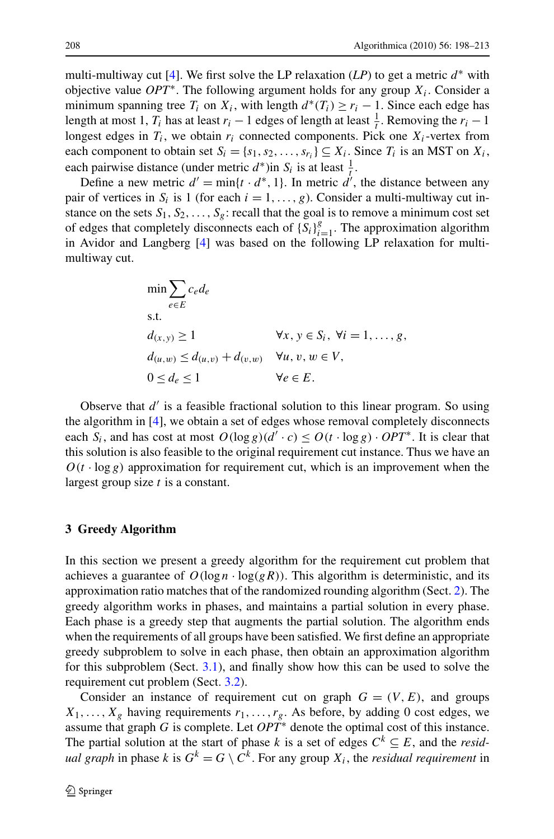<span id="page-10-0"></span>multi-multiway cut [\[4](#page-14-0)]. We first solve the LP relaxation  $(LP)$  to get a metric  $d^*$  with objective value *OPT*∗. The following argument holds for any group *Xi*. Consider a minimum spanning tree  $T_i$  on  $X_i$ , with length  $d^*(T_i) \ge r_i - 1$ . Since each edge has length at most 1,  $T_i$  has at least  $r_i - 1$  edges of length at least  $\frac{1}{t}$ . Removing the  $r_i - 1$ longest edges in  $T_i$ , we obtain  $r_i$  connected components. Pick one  $X_i$ -vertex from each component to obtain set  $S_i = \{s_1, s_2, \ldots, s_{r_i}\} \subseteq X_i$ . Since  $T_i$  is an MST on  $X_i$ , each pairwise distance (under metric  $d^*$ )in  $S_i$  is at least  $\frac{1}{t}$ .

Define a new metric  $d' = \min\{t \cdot d^*, 1\}$ . In metric  $d'$ , the distance between any pair of vertices in  $S_i$  is 1 (for each  $i = 1, \ldots, g$ ). Consider a multi-multiway cut instance on the sets  $S_1, S_2, \ldots, S_g$ : recall that the goal is to remove a minimum cost set of edges that completely disconnects each of  $\{S_i\}_{i=1}^g$ . The approximation algorithm in Avidor and Langberg [[4\]](#page-14-0) was based on the following LP relaxation for multimultiway cut.

$$
\min \sum_{e \in E} c_e d_e
$$
\ns.t.  
\n
$$
d_{(x,y)} \ge 1 \qquad \forall x, y \in S_i, \forall i = 1, ..., g,
$$
\n
$$
d_{(u,w)} \le d_{(u,v)} + d_{(v,w)} \qquad \forall u, v, w \in V,
$$
\n
$$
0 \le d_e \le 1 \qquad \forall e \in E.
$$

Observe that  $d'$  is a feasible fractional solution to this linear program. So using the algorithm in [\[4](#page-14-0)], we obtain a set of edges whose removal completely disconnects each *S<sub>i</sub>*, and has cost at most  $O(\log g)(d' \cdot c) \leq O(t \cdot \log g) \cdot OPT^*$ . It is clear that this solution is also feasible to the original requirement cut instance. Thus we have an  $O(t \cdot \log g)$  approximation for requirement cut, which is an improvement when the largest group size *t* is a constant.

#### **3 Greedy Algorithm**

In this section we present a greedy algorithm for the requirement cut problem that achieves a guarantee of  $O(\log n \cdot \log(gR))$ . This algorithm is deterministic, and its approximation ratio matches that of the randomized rounding algorithm (Sect. [2](#page-3-0)). The greedy algorithm works in phases, and maintains a partial solution in every phase. Each phase is a greedy step that augments the partial solution. The algorithm ends when the requirements of all groups have been satisfied. We first define an appropriate greedy subproblem to solve in each phase, then obtain an approximation algorithm for this subproblem (Sect. [3.1](#page-12-0)), and finally show how this can be used to solve the requirement cut problem (Sect. [3.2\)](#page-13-0).

Consider an instance of requirement cut on graph  $G = (V, E)$ , and groups  $X_1, \ldots, X_g$  having requirements  $r_1, \ldots, r_g$ . As before, by adding 0 cost edges, we assume that graph *G* is complete. Let *OPT*<sup>∗</sup> denote the optimal cost of this instance. The partial solution at the start of phase *k* is a set of edges  $C^k \subseteq E$ , and the *residual graph* in phase *k* is  $G^k = G \setminus C^k$ . For any group  $X_i$ , the *residual requirement* in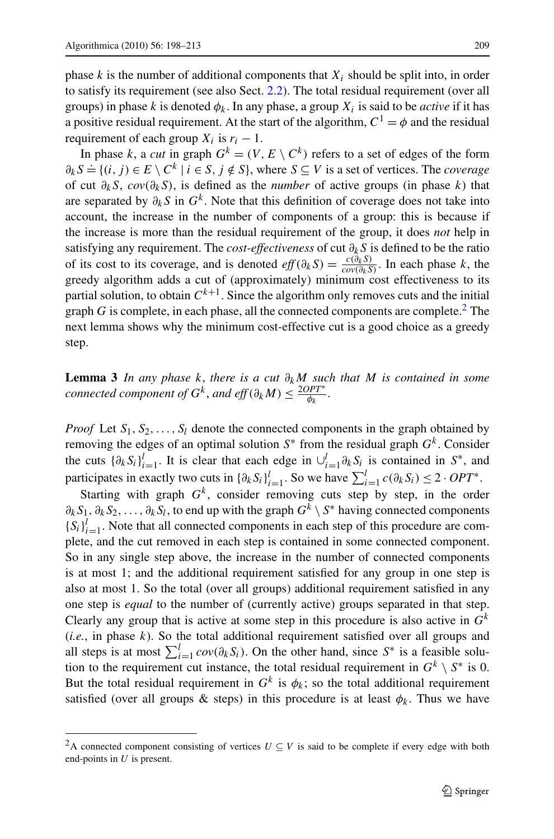<span id="page-11-0"></span>phase  $k$  is the number of additional components that  $X_i$  should be split into, in order to satisfy its requirement (see also Sect. [2.2](#page-5-0)). The total residual requirement (over all groups) in phase *k* is denoted  $\phi_k$ . In any phase, a group  $X_i$  is said to be *active* if it has a positive residual requirement. At the start of the algorithm,  $C^1 = \phi$  and the residual requirement of each group  $X_i$  is  $r_i - 1$ .

In phase *k*, a *cut* in graph  $G^k = (V, E \setminus C^k)$  refers to a set of edges of the form  $\partial_k S = \{(i, j) \in E \setminus C^k \mid i \in S, j \notin S\}$ , where  $S \subseteq V$  is a set of vertices. The *coverage* of cut *∂kS*, *cov(∂kS)*, is defined as the *number* of active groups (in phase *k*) that are separated by  $\partial_k S$  in  $G^k$ . Note that this definition of coverage does not take into account, the increase in the number of components of a group: this is because if the increase is more than the residual requirement of the group, it does *not* help in satisfying any requirement. The *cost-effectiveness* of cut *∂kS* is defined to be the ratio of its cost to its coverage, and is denoted  $eff(\partial_k S) = \frac{c(\partial_k S)}{cov(\partial_k S)}$ . In each phase *k*, the greedy algorithm adds a cut of (approximately) minimum cost effectiveness to its partial solution, to obtain  $C^{k+1}$ . Since the algorithm only removes cuts and the initial graph  $G$  is complete, in each phase, all the connected components are complete.<sup>2</sup> The next lemma shows why the minimum cost-effective cut is a good choice as a greedy step.

**Lemma 3** *In any phase k*, *there is a cut ∂kM such that M is contained in some connected component of*  $G^k$ *, and eff*  $(\partial_k M) \leq \frac{2OPT^*}{\phi_k}$ .

*Proof* Let  $S_1, S_2, \ldots, S_l$  denote the connected components in the graph obtained by removing the edges of an optimal solution  $S^*$  from the residual graph  $G^k$ . Consider the cuts  $\{\partial_k S_i\}_{i=1}^l$ . It is clear that each edge in  $\bigcup_{i=1}^l \partial_k S_i$  is contained in  $S^*$ , and participates in exactly two cuts in  $\{\partial_k S_i\}_{i=1}^l$ . So we have  $\sum_{i=1}^l c(\partial_k S_i) \leq 2 \cdot OPT^*$ .

Starting with graph  $G<sup>k</sup>$ , consider removing cuts step by step, in the order *∂kS*1*,∂kS*2*,...,∂kSl*, to end up with the graph *Gk* \ *S*<sup>∗</sup> having connected components  ${S_i}_{i=1}^l$ . Note that all connected components in each step of this procedure are complete, and the cut removed in each step is contained in some connected component. So in any single step above, the increase in the number of connected components is at most 1; and the additional requirement satisfied for any group in one step is also at most 1. So the total (over all groups) additional requirement satisfied in any one step is *equal* to the number of (currently active) groups separated in that step. Clearly any group that is active at some step in this procedure is also active in  $G<sup>k</sup>$ (*i.e.*, in phase *k*). So the total additional requirement satisfied over all groups and all steps is at most  $\sum_{i=1}^{l} cov(\partial_k S_i)$ . On the other hand, since  $S^*$  is a feasible solution to the requirement cut instance, the total residual requirement in  $G^k \setminus S^*$  is 0. But the total residual requirement in  $G<sup>k</sup>$  is  $\phi_k$ ; so the total additional requirement satisfied (over all groups & steps) in this procedure is at least  $\phi_k$ . Thus we have

<sup>&</sup>lt;sup>2</sup>A connected component consisting of vertices  $U \subseteq V$  is said to be complete if every edge with both end-points in *U* is present.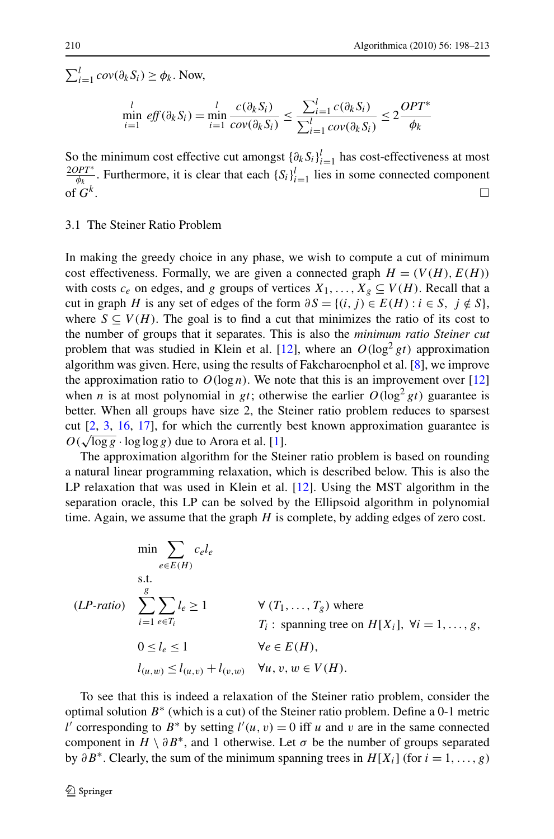<span id="page-12-0"></span> $\sum_{i=1}^{l} cov(\partial_k S_i) \ge \phi_k$ . Now,  $\min_{i=1}^{l}$  *eff* (∂<sub>k</sub> S<sub>i</sub>) =  $\min_{i=1}^{l}$ *c(∂kSi)*  $\frac{c(\partial_k S_i)}{cov(\partial_k S_i)} \leq \frac{\sum_{i=1}^l c(\partial_k S_i)}{\sum_{i=1}^l cov(\partial_k S_i)}$  $\sum_{i=1}^{l} cov(\partial_k S_i)$  $\leq 2 \frac{OPT^*}{4}$ *φk*

So the minimum cost effective cut amongst  $\{\partial_k S_i\}_{i=1}^l$  has cost-effectiveness at most  $\frac{2OPT^*}{\phi_k}$ . Furthermore, it is clear that each  $\{S_i\}_{i=1}^l$  lies in some connected component of  $G^k$ .

#### 3.1 The Steiner Ratio Problem

In making the greedy choice in any phase, we wish to compute a cut of minimum cost effectiveness. Formally, we are given a connected graph  $H = (V(H), E(H))$ with costs  $c_e$  on edges, and *g* groups of vertices  $X_1, \ldots, X_g \subseteq V(H)$ . Recall that a cut in graph *H* is any set of edges of the form  $\partial S = \{(i, j) \in E(H) : i \in S, j \notin S\}$ , where  $S \subseteq V(H)$ . The goal is to find a cut that minimizes the ratio of its cost to the number of groups that it separates. This is also the *minimum ratio Steiner cut* problem that was studied in Klein et al. [[12\]](#page-15-0), where an  $O(\log^2 gt)$  approximation algorithm was given. Here, using the results of Fakcharoenphol et al. [[8\]](#page-14-0), we improve the approximation ratio to  $O(\log n)$ . We note that this is an improvement over [\[12](#page-15-0)] when *n* is at most polynomial in *gt*; otherwise the earlier  $O(\log^2 gt)$  guarantee is better. When all groups have size 2, the Steiner ratio problem reduces to sparsest cut [[2,](#page-14-0) [3](#page-14-0), [16](#page-15-0), [17](#page-15-0)], for which the currently best known approximation guarantee is  $O(\sqrt{\log g} \cdot \log \log g)$  due to Arora et al. [\[1\]](#page-14-0).

The approximation algorithm for the Steiner ratio problem is based on rounding a natural linear programming relaxation, which is described below. This is also the LP relaxation that was used in Klein et al. [\[12](#page-15-0)]. Using the MST algorithm in the separation oracle, this LP can be solved by the Ellipsoid algorithm in polynomial time. Again, we assume that the graph *H* is complete, by adding edges of zero cost.

$$
\min \sum_{e \in E(H)} c_e l_e
$$
\n
$$
\text{s.t.}
$$
\n
$$
(LP\text{-}ratio) \sum_{i=1}^{g} \sum_{e \in T_i} l_e \ge 1 \qquad \forall (T_1, \dots, T_g) \text{ where}
$$
\n
$$
T_i: \text{ spanning tree on } H[X_i], \forall i = 1, \dots, g,
$$
\n
$$
0 \le l_e \le 1 \qquad \forall e \in E(H),
$$
\n
$$
l_{(u,w)} \le l_{(u,v)} + l_{(v,w)} \qquad \forall u, v, w \in V(H).
$$

To see that this is indeed a relaxation of the Steiner ratio problem, consider the optimal solution *B*<sup>∗</sup> (which is a cut) of the Steiner ratio problem. Define a 0-1 metric *l'* corresponding to *B*<sup>\*</sup> by setting *l'*(*u*, *v*) = 0 iff *u* and *v* are in the same connected component in  $H \setminus \partial B^*$ , and 1 otherwise. Let  $\sigma$  be the number of groups separated by  $\partial B^*$ . Clearly, the sum of the minimum spanning trees in  $H[X_i]$  (for  $i = 1, \ldots, g$ )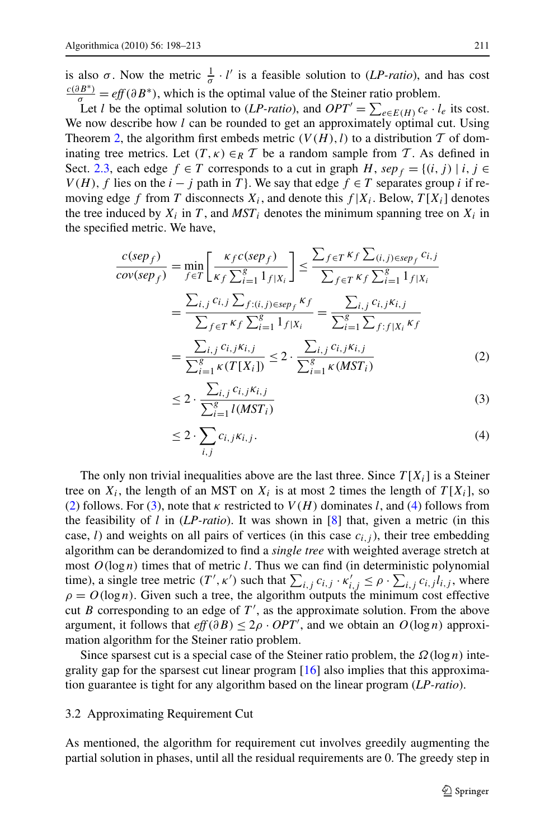<span id="page-13-0"></span>is also  $\sigma$ . Now the metric  $\frac{1}{\sigma} \cdot l'$  is a feasible solution to (*LP-ratio*), and has cost  $\frac{c(\partial B^*)}{\sigma} = eff(\partial B^*)$ , which is the optimal value of the Steiner ratio problem.

Let *l* be the optimal solution to (*LP-ratio*), and  $OPT' = \sum_{e \in E(H)} c_e \cdot l_e$  its cost. We now describe how *l* can be rounded to get an approximately optimal cut. Using Theorem [2,](#page-9-0) the algorithm first embeds metric  $(V(H), l)$  to a distribution T of dominating tree metrics. Let  $(T, \kappa) \in_R T$  be a random sample from T. As defined in Sect. [2.3](#page-8-0), each edge  $f \in T$  corresponds to a cut in graph *H*,  $sep_f = \{(i, j) | i, j \in T\}$ *V*(*H*), *f* lies on the *i* − *j* path in *T*}. We say that edge  $f \in T$  separates group *i* if removing edge *f* from *T* disconnects  $X_i$ , and denote this  $f | X_i$ . Below,  $T[X_i]$  denotes the tree induced by  $X_i$  in *T*, and  $MST_i$  denotes the minimum spanning tree on  $X_i$  in the specified metric. We have,

$$
\frac{c(sep_f)}{cov(sep_f)} = \min_{f \in T} \left[ \frac{\kappa_f c(sep_f)}{\kappa_f \sum_{i=1}^g 1_{f|X_i}} \right] \le \frac{\sum_{f \in T} \kappa_f \sum_{(i,j) \in sep_f} c_{i,j}}{\sum_{f \in T} \kappa_f \sum_{i=1}^g 1_{f|X_i}} \n= \frac{\sum_{i,j} c_{i,j} \sum_{f:(i,j) \in sep_f} \kappa_f}{\sum_{f \in T} \kappa_f \sum_{i=1}^g 1_{f|X_i}} = \frac{\sum_{i,j} c_{i,j} \kappa_{i,j}}{\sum_{i=1}^g \sum_{f:(f|X_i \kappa_f)} \kappa_f} \n= \frac{\sum_{i,j} c_{i,j} \kappa_{i,j}}{\sum_{i=1}^g \kappa(T[X_i])} \le 2 \cdot \frac{\sum_{i,j} c_{i,j} \kappa_{i,j}}{\sum_{i=1}^g \kappa(MST_i)}
$$
\n(2)

$$
\leq 2 \cdot \frac{\sum_{i,j} c_{i,j} \kappa_{i,j}}{\sum_{i=1}^{g} l(MST_i)}\tag{3}
$$

$$
\leq 2 \cdot \sum_{i,j} c_{i,j} \kappa_{i,j}.\tag{4}
$$

The only non trivial inequalities above are the last three. Since  $T[X_i]$  is a Steiner tree on  $X_i$ , the length of an MST on  $X_i$  is at most 2 times the length of  $T[X_i]$ , so (2) follows. For (3), note that  $\kappa$  restricted to  $V(H)$  dominates *l*, and (4) follows from the feasibility of *l* in (*LP-ratio*). It was shown in [[8\]](#page-14-0) that, given a metric (in this case, *l*) and weights on all pairs of vertices (in this case  $c_{i,j}$ ), their tree embedding algorithm can be derandomized to find a *single tree* with weighted average stretch at most  $O(log n)$  times that of metric *l*. Thus we can find (in deterministic polynomial time), a single tree metric  $(T', \kappa')$  such that  $\sum_{i,j} c_{i,j} \cdot \kappa'_{i,j} \leq \rho \cdot \sum_{i,j} c_{i,j} l_{i,j}$ , where  $\rho = O(\log n)$ . Given such a tree, the algorithm outputs the minimum cost effective cut *B* corresponding to an edge of  $T'$ , as the approximate solution. From the above argument, it follows that  $eff(\partial B) \leq 2\rho \cdot OPT'$ , and we obtain an  $O(\log n)$  approximation algorithm for the Steiner ratio problem.

Since sparsest cut is a special case of the Steiner ratio problem, the *Ω*(log *n*) integrality gap for the sparsest cut linear program [\[16](#page-15-0)] also implies that this approximation guarantee is tight for any algorithm based on the linear program (*LP-ratio*).

#### 3.2 Approximating Requirement Cut

As mentioned, the algorithm for requirement cut involves greedily augmenting the partial solution in phases, until all the residual requirements are 0. The greedy step in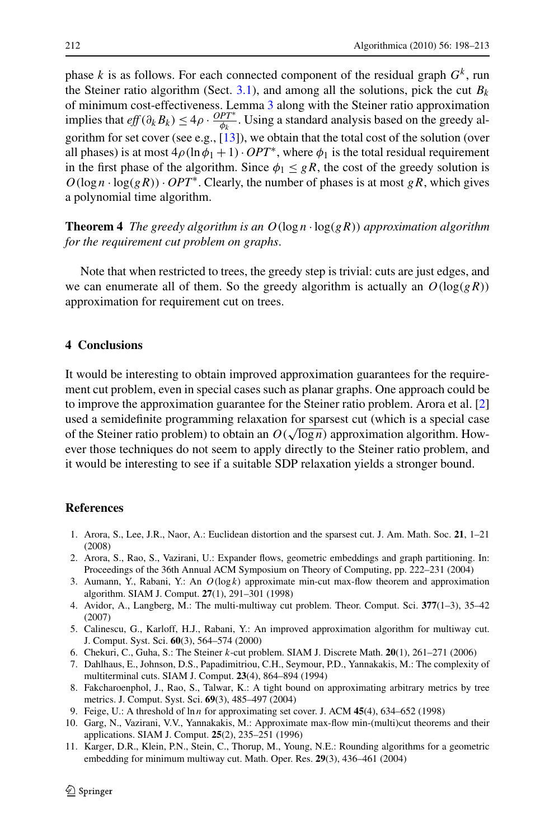<span id="page-14-0"></span>phase *k* is as follows. For each connected component of the residual graph  $G<sup>k</sup>$ , run the Steiner ratio algorithm (Sect.  $3.1$ ), and among all the solutions, pick the cut  $B_k$ of minimum cost-effectiveness. Lemma [3](#page-11-0) along with the Steiner ratio approximation implies that  $eff(\partial_k B_k) \leq 4\rho \cdot \frac{OPT^*}{\phi_k}$ . Using a standard analysis based on the greedy algorithm for set cover (see e.g., [\[13](#page-15-0)]), we obtain that the total cost of the solution (over all phases) is at most  $4\rho(\ln \phi_1 + 1) \cdot OPT^*$ , where  $\phi_1$  is the total residual requirement in the first phase of the algorithm. Since  $\phi_1 \leq gR$ , the cost of the greedy solution is  $O(\log n \cdot \log(gR)) \cdot OPT^*$ . Clearly, the number of phases is at most *gR*, which gives a polynomial time algorithm.

**Theorem 4** *The greedy algorithm is an*  $O(\log n \cdot \log(gR))$  *approximation algorithm for the requirement cut problem on graphs*.

Note that when restricted to trees, the greedy step is trivial: cuts are just edges, and we can enumerate all of them. So the greedy algorithm is actually an  $O(\log(gR))$ approximation for requirement cut on trees.

## **4 Conclusions**

It would be interesting to obtain improved approximation guarantees for the requirement cut problem, even in special cases such as planar graphs. One approach could be to improve the approximation guarantee for the Steiner ratio problem. Arora et al. [2] used a semidefinite programming relaxation for sparsest cut (which is a special case of the Steiner ratio problem) to obtain an  $O(\sqrt{\log n})$  approximation algorithm. However those techniques do not seem to apply directly to the Steiner ratio problem, and it would be interesting to see if a suitable SDP relaxation yields a stronger bound.

#### **References**

- 1. Arora, S., Lee, J.R., Naor, A.: Euclidean distortion and the sparsest cut. J. Am. Math. Soc. **21**, 1–21 (2008)
- 2. Arora, S., Rao, S., Vazirani, U.: Expander flows, geometric embeddings and graph partitioning. In: Proceedings of the 36th Annual ACM Symposium on Theory of Computing, pp. 222–231 (2004)
- 3. Aumann, Y., Rabani, Y.: An  $O(log k)$  approximate min-cut max-flow theorem and approximation algorithm. SIAM J. Comput. **27**(1), 291–301 (1998)
- 4. Avidor, A., Langberg, M.: The multi-multiway cut problem. Theor. Comput. Sci. **377**(1–3), 35–42 (2007)
- 5. Calinescu, G., Karloff, H.J., Rabani, Y.: An improved approximation algorithm for multiway cut. J. Comput. Syst. Sci. **60**(3), 564–574 (2000)
- 6. Chekuri, C., Guha, S.: The Steiner *k*-cut problem. SIAM J. Discrete Math. **20**(1), 261–271 (2006)
- 7. Dahlhaus, E., Johnson, D.S., Papadimitriou, C.H., Seymour, P.D., Yannakakis, M.: The complexity of multiterminal cuts. SIAM J. Comput. **23**(4), 864–894 (1994)
- 8. Fakcharoenphol, J., Rao, S., Talwar, K.: A tight bound on approximating arbitrary metrics by tree metrics. J. Comput. Syst. Sci. **69**(3), 485–497 (2004)
- 9. Feige, U.: A threshold of ln *n* for approximating set cover. J. ACM **45**(4), 634–652 (1998)
- 10. Garg, N., Vazirani, V.V., Yannakakis, M.: Approximate max-flow min-(multi)cut theorems and their applications. SIAM J. Comput. **25**(2), 235–251 (1996)
- 11. Karger, D.R., Klein, P.N., Stein, C., Thorup, M., Young, N.E.: Rounding algorithms for a geometric embedding for minimum multiway cut. Math. Oper. Res. **29**(3), 436–461 (2004)